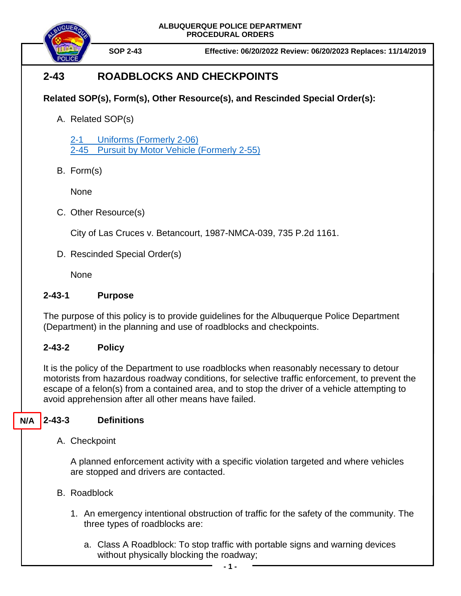**ALBUQUERQUE POLICE DEPARTMENT PROCEDURAL ORDERS**



**SOP 2-43 Effective: 06/20/2022 Review: 06/20/2023 Replaces: 11/14/2019**

# **2-43 ROADBLOCKS AND CHECKPOINTS**

## **Related SOP(s), Form(s), Other Resource(s), and Rescinded Special Order(s):**

A. Related SOP(s)

2-1 Uniforms [\(Formerly](https://powerdms.com/docs/84?q=2-1) 2-06) 2-45 [Pursuit by Motor Vehicle](https://powerdms.com/docs/139?q=2-45) (Formerly 2-55)

B. Form(s)

None

C. Other Resource(s)

City of Las Cruces v. Betancourt, 1987-NMCA-039, 735 P.2d 1161.

D. Rescinded Special Order(s)

**None** 

#### **2-43-1 Purpose**

The purpose of this policy is to provide guidelines for the Albuquerque Police Department (Department) in the planning and use of roadblocks and checkpoints.

### **2-43-2 Policy**

It is the policy of the Department to use roadblocks when reasonably necessary to detour motorists from hazardous roadway conditions, for selective traffic enforcement, to prevent the escape of a felon(s) from a contained area, and to stop the driver of a vehicle attempting to avoid apprehension after all other means have failed.

#### **2-43-3 Definitions N/A**

A. Checkpoint

A planned enforcement activity with a specific violation targeted and where vehicles are stopped and drivers are contacted.

- B. Roadblock
	- 1. An emergency intentional obstruction of traffic for the safety of the community. The three types of roadblocks are:
		- a. Class A Roadblock: To stop traffic with portable signs and warning devices without physically blocking the roadway;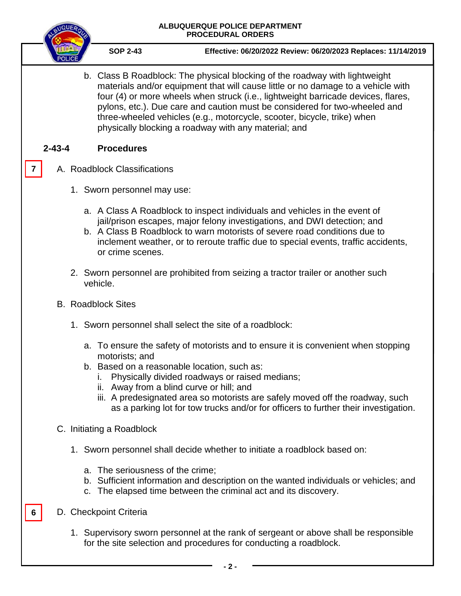|                           | ALBUQUERQUE POLICE DEPARTMENT<br><b>PROCEDURAL ORDERS</b>                                                                                                                                                                                                                                                                                                                                                                                                             |
|---------------------------|-----------------------------------------------------------------------------------------------------------------------------------------------------------------------------------------------------------------------------------------------------------------------------------------------------------------------------------------------------------------------------------------------------------------------------------------------------------------------|
|                           | <b>SOP 2-43</b><br>Effective: 06/20/2022 Review: 06/20/2023 Replaces: 11/14/2019                                                                                                                                                                                                                                                                                                                                                                                      |
|                           | b. Class B Roadblock: The physical blocking of the roadway with lightweight<br>materials and/or equipment that will cause little or no damage to a vehicle with<br>four (4) or more wheels when struck (i.e., lightweight barricade devices, flares,<br>pylons, etc.). Due care and caution must be considered for two-wheeled and<br>three-wheeled vehicles (e.g., motorcycle, scooter, bicycle, trike) when<br>physically blocking a roadway with any material; and |
| $2 - 43 - 4$              | <b>Procedures</b>                                                                                                                                                                                                                                                                                                                                                                                                                                                     |
| 7                         | A. Roadblock Classifications                                                                                                                                                                                                                                                                                                                                                                                                                                          |
|                           | 1. Sworn personnel may use:                                                                                                                                                                                                                                                                                                                                                                                                                                           |
|                           | a. A Class A Roadblock to inspect individuals and vehicles in the event of<br>jail/prison escapes, major felony investigations, and DWI detection; and<br>b. A Class B Roadblock to warn motorists of severe road conditions due to<br>inclement weather, or to reroute traffic due to special events, traffic accidents,<br>or crime scenes.                                                                                                                         |
|                           | 2. Sworn personnel are prohibited from seizing a tractor trailer or another such<br>vehicle.                                                                                                                                                                                                                                                                                                                                                                          |
| <b>B.</b> Roadblock Sites |                                                                                                                                                                                                                                                                                                                                                                                                                                                                       |
|                           | 1. Sworn personnel shall select the site of a roadblock:                                                                                                                                                                                                                                                                                                                                                                                                              |
|                           | a. To ensure the safety of motorists and to ensure it is convenient when stopping<br>motorists; and<br>b. Based on a reasonable location, such as:<br>Physically divided roadways or raised medians;<br>ii. Away from a blind curve or hill; and<br>iii. A predesignated area so motorists are safely moved off the roadway, such<br>as a parking lot for tow trucks and/or for officers to further their investigation.                                              |
|                           | C. Initiating a Roadblock                                                                                                                                                                                                                                                                                                                                                                                                                                             |
|                           | 1. Sworn personnel shall decide whether to initiate a roadblock based on:                                                                                                                                                                                                                                                                                                                                                                                             |
|                           | a. The seriousness of the crime;<br>b. Sufficient information and description on the wanted individuals or vehicles; and<br>c. The elapsed time between the criminal act and its discovery.                                                                                                                                                                                                                                                                           |
| 6                         | D. Checkpoint Criteria                                                                                                                                                                                                                                                                                                                                                                                                                                                |
|                           | 1. Supervisory sworn personnel at the rank of sergeant or above shall be responsible<br>for the site selection and procedures for conducting a roadblock.                                                                                                                                                                                                                                                                                                             |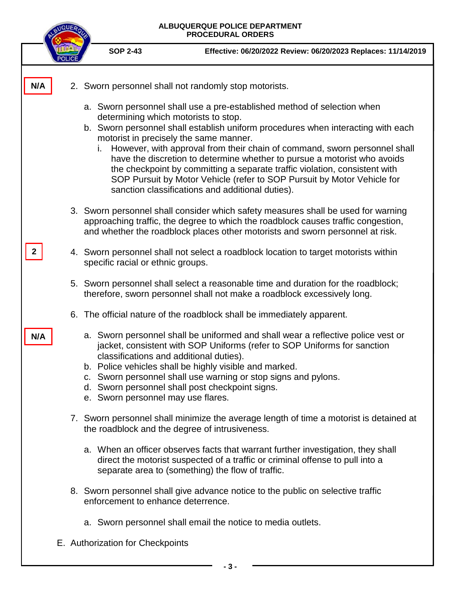